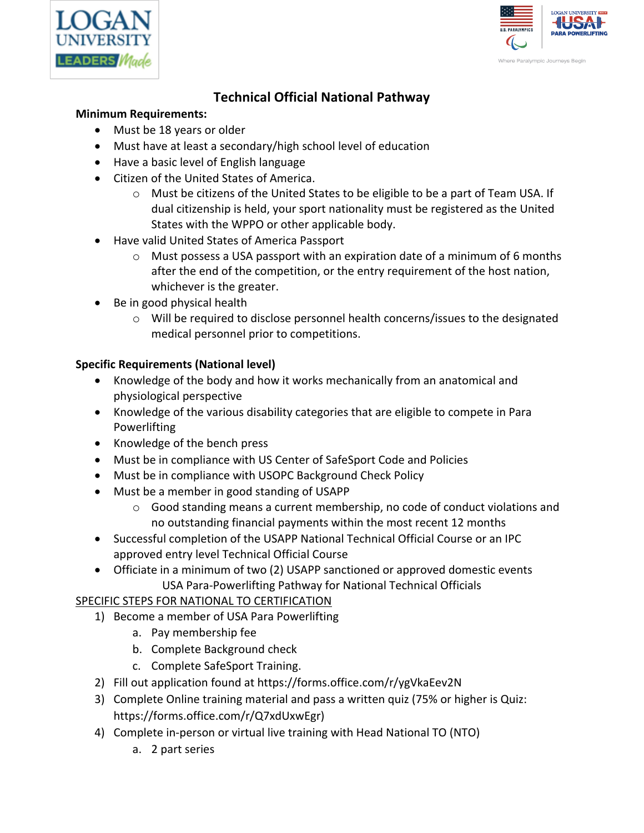



# **Technical Official National Pathway**

#### **Minimum Requirements:**

- Must be 18 years or older
- Must have at least a secondary/high school level of education
- Have a basic level of English language
- Citizen of the United States of America.
	- o Must be citizens of the United States to be eligible to be a part of Team USA. If dual citizenship is held, your sport nationality must be registered as the United States with the WPPO or other applicable body.
- Have valid United States of America Passport
	- $\circ$  Must possess a USA passport with an expiration date of a minimum of 6 months after the end of the competition, or the entry requirement of the host nation, whichever is the greater.
- Be in good physical health
	- $\circ$  Will be required to disclose personnel health concerns/issues to the designated medical personnel prior to competitions.

#### **Specific Requirements (National level)**

- Knowledge of the body and how it works mechanically from an anatomical and physiological perspective
- Knowledge of the various disability categories that are eligible to compete in Para Powerlifting
- Knowledge of the bench press
- Must be in compliance with US Center of SafeSport Code and Policies
- Must be in compliance with USOPC Background Check Policy
- Must be a member in good standing of USAPP
	- $\circ$  Good standing means a current membership, no code of conduct violations and no outstanding financial payments within the most recent 12 months
- Successful completion of the USAPP National Technical Official Course or an IPC approved entry level Technical Official Course
- Officiate in a minimum of two (2) USAPP sanctioned or approved domestic events USA Para-Powerlifting Pathway for National Technical Officials

### SPECIFIC STEPS FOR NATIONAL TO CERTIFICATION

- 1) Become a member of USA Para Powerlifting
	- a. Pay membership fee
	- b. Complete Background check
	- c. Complete SafeSport Training.
- 2) Fill out application found at https://forms.office.com/r/ygVkaEev2N
- 3) Complete Online training material and pass a written quiz (75% or higher is Quiz: https://forms.office.com/r/Q7xdUxwEgr)
- 4) Complete in-person or virtual live training with Head National TO (NTO)
	- a. 2 part series